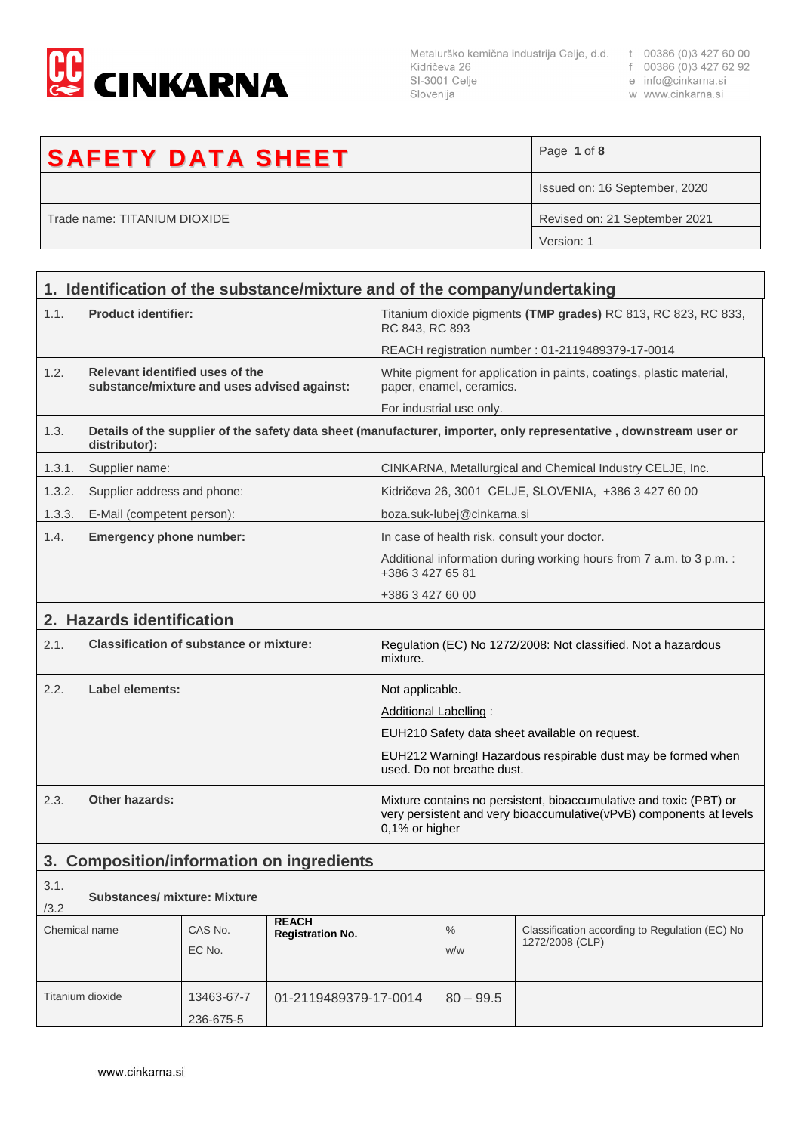

f 00386 (0)3 427 6.<br>e info@cinkarna.si SI-3001 Celje Slovenija

- 
- 

| w www.cinkarna.si |  |
|-------------------|--|
|-------------------|--|

| <b>SAFETY DATA SHEET</b>     | Page 1 of 8                   |
|------------------------------|-------------------------------|
|                              | Issued on: 16 September, 2020 |
| Trade name: TITANIUM DIOXIDE | Revised on: 21 September 2021 |
|                              | Version: 1                    |

| 1. Identification of the substance/mixture and of the company/undertaking |                                                                                |            |                                                                                                                                                             |                                                           |                                                                   |                                                                                                                   |
|---------------------------------------------------------------------------|--------------------------------------------------------------------------------|------------|-------------------------------------------------------------------------------------------------------------------------------------------------------------|-----------------------------------------------------------|-------------------------------------------------------------------|-------------------------------------------------------------------------------------------------------------------|
| 1.1.                                                                      | <b>Product identifier:</b>                                                     |            | Titanium dioxide pigments (TMP grades) RC 813, RC 823, RC 833,<br>RC 843, RC 893                                                                            |                                                           |                                                                   |                                                                                                                   |
|                                                                           |                                                                                |            |                                                                                                                                                             |                                                           |                                                                   | REACH registration number : 01-2119489379-17-0014                                                                 |
| 1.2.                                                                      | Relevant identified uses of the<br>substance/mixture and uses advised against: |            |                                                                                                                                                             |                                                           | paper, enamel, ceramics.                                          | White pigment for application in paints, coatings, plastic material,                                              |
|                                                                           |                                                                                |            |                                                                                                                                                             |                                                           | For industrial use only.                                          |                                                                                                                   |
| 1.3.                                                                      | distributor):                                                                  |            |                                                                                                                                                             |                                                           |                                                                   | Details of the supplier of the safety data sheet (manufacturer, importer, only representative, downstream user or |
| 1.3.1.                                                                    | Supplier name:                                                                 |            |                                                                                                                                                             | CINKARNA, Metallurgical and Chemical Industry CELJE, Inc. |                                                                   |                                                                                                                   |
| 1.3.2.                                                                    | Supplier address and phone:                                                    |            |                                                                                                                                                             |                                                           |                                                                   | Kidričeva 26, 3001 CELJE, SLOVENIA, +386 3 427 60 00                                                              |
| 1.3.3.                                                                    | E-Mail (competent person):                                                     |            |                                                                                                                                                             |                                                           | boza.suk-lubej@cinkarna.si                                        |                                                                                                                   |
| 1.4.                                                                      | <b>Emergency phone number:</b>                                                 |            |                                                                                                                                                             |                                                           |                                                                   | In case of health risk, consult your doctor.                                                                      |
|                                                                           |                                                                                |            |                                                                                                                                                             | +386 3 427 65 81                                          |                                                                   | Additional information during working hours from 7 a.m. to 3 p.m. :                                               |
|                                                                           |                                                                                |            |                                                                                                                                                             | +386 3 427 60 00                                          |                                                                   |                                                                                                                   |
|                                                                           | 2. Hazards identification                                                      |            |                                                                                                                                                             |                                                           |                                                                   |                                                                                                                   |
| 2.1.                                                                      | <b>Classification of substance or mixture:</b>                                 |            | Regulation (EC) No 1272/2008: Not classified. Not a hazardous<br>mixture.                                                                                   |                                                           |                                                                   |                                                                                                                   |
| 2.2.                                                                      | Label elements:                                                                |            | Not applicable.                                                                                                                                             |                                                           |                                                                   |                                                                                                                   |
|                                                                           |                                                                                |            |                                                                                                                                                             | Additional Labelling:                                     |                                                                   |                                                                                                                   |
|                                                                           |                                                                                |            |                                                                                                                                                             |                                                           |                                                                   | EUH210 Safety data sheet available on request.                                                                    |
|                                                                           |                                                                                |            | EUH212 Warning! Hazardous respirable dust may be formed when<br>used. Do not breathe dust.                                                                  |                                                           |                                                                   |                                                                                                                   |
|                                                                           |                                                                                |            |                                                                                                                                                             |                                                           |                                                                   |                                                                                                                   |
| 2.3.                                                                      | Other hazards:                                                                 |            | Mixture contains no persistent, bioaccumulative and toxic (PBT) or<br>very persistent and very bioaccumulative(vPvB) components at levels<br>0,1% or higher |                                                           |                                                                   |                                                                                                                   |
| <b>Composition/information on ingredients</b><br>3.                       |                                                                                |            |                                                                                                                                                             |                                                           |                                                                   |                                                                                                                   |
| 3.1.                                                                      |                                                                                |            |                                                                                                                                                             |                                                           |                                                                   |                                                                                                                   |
| /3.2                                                                      | <b>Substances/ mixture: Mixture</b>                                            |            |                                                                                                                                                             |                                                           |                                                                   |                                                                                                                   |
|                                                                           | <b>REACH</b><br>CAS No.<br>Chemical name<br><b>Registration No.</b><br>EC No.  |            |                                                                                                                                                             | $\%$<br>w/w                                               | Classification according to Regulation (EC) No<br>1272/2008 (CLP) |                                                                                                                   |
|                                                                           | Titanium dioxide                                                               | 13463-67-7 | 01-2119489379-17-0014                                                                                                                                       |                                                           | $80 - 99.5$                                                       |                                                                                                                   |
|                                                                           |                                                                                | 236-675-5  |                                                                                                                                                             |                                                           |                                                                   |                                                                                                                   |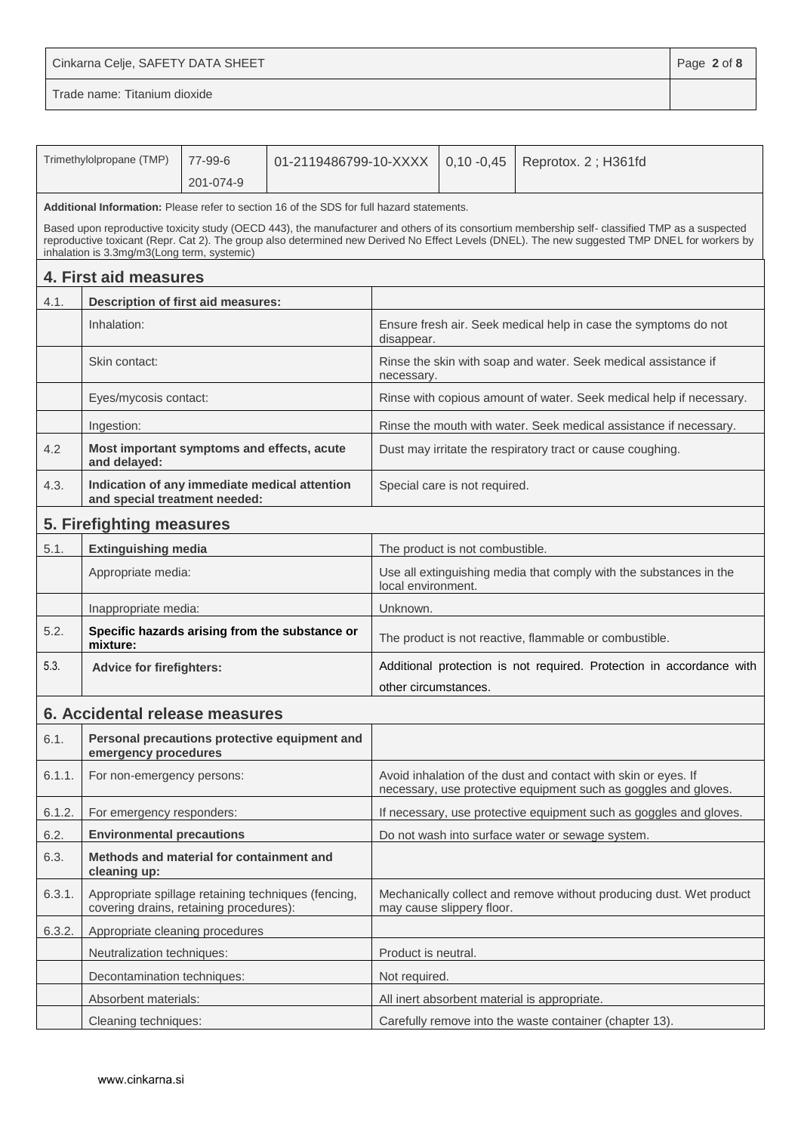Cinkarna Celje, SAFETY DATA SHEET **Page 2** of 8

|        | Trimethylolpropane (TMP)                                                                       | 77-99-6   | 01-2119486799-10-XXXX                                                                     |                                                                                              | $0,10 - 0,45$                   | Reprotox. 2; H361fd                                                                                                                                                                                                                                                                              |
|--------|------------------------------------------------------------------------------------------------|-----------|-------------------------------------------------------------------------------------------|----------------------------------------------------------------------------------------------|---------------------------------|--------------------------------------------------------------------------------------------------------------------------------------------------------------------------------------------------------------------------------------------------------------------------------------------------|
|        |                                                                                                | 201-074-9 |                                                                                           |                                                                                              |                                 |                                                                                                                                                                                                                                                                                                  |
|        |                                                                                                |           | Additional Information: Please refer to section 16 of the SDS for full hazard statements. |                                                                                              |                                 |                                                                                                                                                                                                                                                                                                  |
|        | inhalation is 3.3mg/m3(Long term, systemic)                                                    |           |                                                                                           |                                                                                              |                                 | Based upon reproductive toxicity study (OECD 443), the manufacturer and others of its consortium membership self- classified TMP as a suspected<br>reproductive toxicant (Repr. Cat 2). The group also determined new Derived No Effect Levels (DNEL). The new suggested TMP DNEL for workers by |
|        | 4. First aid measures                                                                          |           |                                                                                           |                                                                                              |                                 |                                                                                                                                                                                                                                                                                                  |
| 4.1.   | <b>Description of first aid measures:</b>                                                      |           |                                                                                           |                                                                                              |                                 |                                                                                                                                                                                                                                                                                                  |
|        | Inhalation:                                                                                    |           |                                                                                           | disappear.                                                                                   |                                 | Ensure fresh air. Seek medical help in case the symptoms do not                                                                                                                                                                                                                                  |
|        | Skin contact:                                                                                  |           |                                                                                           | necessary.                                                                                   |                                 | Rinse the skin with soap and water. Seek medical assistance if                                                                                                                                                                                                                                   |
|        | Eyes/mycosis contact:                                                                          |           |                                                                                           |                                                                                              |                                 | Rinse with copious amount of water. Seek medical help if necessary.                                                                                                                                                                                                                              |
|        | Ingestion:                                                                                     |           |                                                                                           |                                                                                              |                                 | Rinse the mouth with water. Seek medical assistance if necessary.                                                                                                                                                                                                                                |
| 4.2    | Most important symptoms and effects, acute<br>and delayed:                                     |           |                                                                                           |                                                                                              |                                 | Dust may irritate the respiratory tract or cause coughing.                                                                                                                                                                                                                                       |
| 4.3.   | Indication of any immediate medical attention<br>and special treatment needed:                 |           |                                                                                           |                                                                                              | Special care is not required.   |                                                                                                                                                                                                                                                                                                  |
|        | 5. Firefighting measures                                                                       |           |                                                                                           |                                                                                              |                                 |                                                                                                                                                                                                                                                                                                  |
| 5.1.   | <b>Extinguishing media</b>                                                                     |           |                                                                                           |                                                                                              | The product is not combustible. |                                                                                                                                                                                                                                                                                                  |
|        | Appropriate media:                                                                             |           | Use all extinguishing media that comply with the substances in the<br>local environment.  |                                                                                              |                                 |                                                                                                                                                                                                                                                                                                  |
|        | Inappropriate media:                                                                           |           |                                                                                           | Unknown.                                                                                     |                                 |                                                                                                                                                                                                                                                                                                  |
| 5.2.   | mixture:                                                                                       |           | Specific hazards arising from the substance or                                            |                                                                                              |                                 | The product is not reactive, flammable or combustible.                                                                                                                                                                                                                                           |
| 5.3.   | <b>Advice for firefighters:</b>                                                                |           |                                                                                           | Additional protection is not required. Protection in accordance with<br>other circumstances. |                                 |                                                                                                                                                                                                                                                                                                  |
|        |                                                                                                |           |                                                                                           |                                                                                              |                                 |                                                                                                                                                                                                                                                                                                  |
|        | 6. Accidental release measures                                                                 |           |                                                                                           |                                                                                              |                                 |                                                                                                                                                                                                                                                                                                  |
| 6.1.   | emergency procedures                                                                           |           | Personal precautions protective equipment and                                             |                                                                                              |                                 |                                                                                                                                                                                                                                                                                                  |
| 6.1.1. | For non-emergency persons:                                                                     |           |                                                                                           |                                                                                              |                                 | Avoid inhalation of the dust and contact with skin or eyes. If<br>necessary, use protective equipment such as goggles and gloves.                                                                                                                                                                |
| 6.1.2. | For emergency responders:                                                                      |           |                                                                                           |                                                                                              |                                 | If necessary, use protective equipment such as goggles and gloves.                                                                                                                                                                                                                               |
| 6.2.   | <b>Environmental precautions</b>                                                               |           |                                                                                           |                                                                                              |                                 | Do not wash into surface water or sewage system.                                                                                                                                                                                                                                                 |
| 6.3.   | Methods and material for containment and<br>cleaning up:                                       |           |                                                                                           |                                                                                              |                                 |                                                                                                                                                                                                                                                                                                  |
| 6.3.1. | Appropriate spillage retaining techniques (fencing,<br>covering drains, retaining procedures): |           |                                                                                           |                                                                                              | may cause slippery floor.       | Mechanically collect and remove without producing dust. Wet product                                                                                                                                                                                                                              |
| 6.3.2. | Appropriate cleaning procedures                                                                |           |                                                                                           |                                                                                              |                                 |                                                                                                                                                                                                                                                                                                  |
|        | Neutralization techniques:                                                                     |           |                                                                                           | Product is neutral.                                                                          |                                 |                                                                                                                                                                                                                                                                                                  |
|        | Decontamination techniques:                                                                    |           |                                                                                           | Not required.                                                                                |                                 |                                                                                                                                                                                                                                                                                                  |
|        | Absorbent materials:                                                                           |           |                                                                                           |                                                                                              |                                 | All inert absorbent material is appropriate.                                                                                                                                                                                                                                                     |
|        | Cleaning techniques:                                                                           |           |                                                                                           |                                                                                              |                                 | Carefully remove into the waste container (chapter 13).                                                                                                                                                                                                                                          |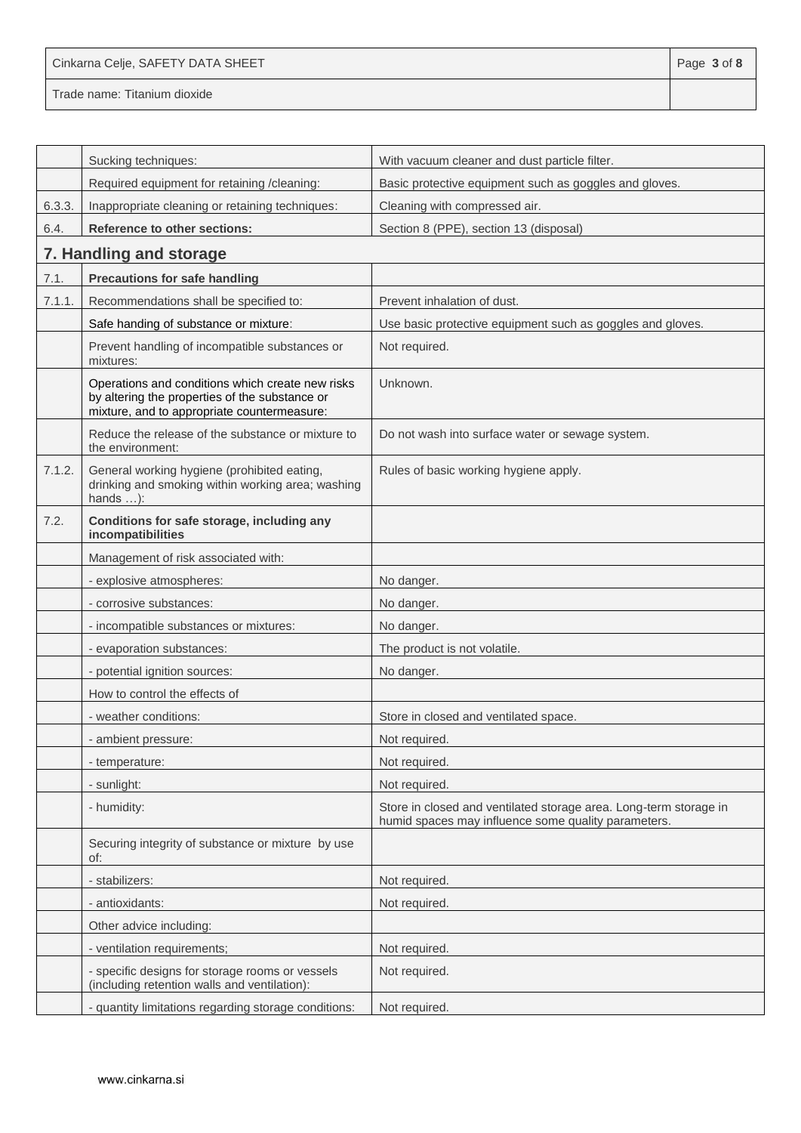Cinkarna Celje, SAFETY DATA SHEET **Page 1** of **8** 

|        | Sucking techniques:                                                                                                                               | With vacuum cleaner and dust particle filter.                                                                            |
|--------|---------------------------------------------------------------------------------------------------------------------------------------------------|--------------------------------------------------------------------------------------------------------------------------|
|        | Required equipment for retaining /cleaning:                                                                                                       | Basic protective equipment such as goggles and gloves.                                                                   |
| 6.3.3. | Inappropriate cleaning or retaining techniques:                                                                                                   | Cleaning with compressed air.                                                                                            |
| 6.4.   | <b>Reference to other sections:</b>                                                                                                               | Section 8 (PPE), section 13 (disposal)                                                                                   |
|        | 7. Handling and storage                                                                                                                           |                                                                                                                          |
| 7.1.   | <b>Precautions for safe handling</b>                                                                                                              |                                                                                                                          |
| 7.1.1. | Recommendations shall be specified to:                                                                                                            | Prevent inhalation of dust.                                                                                              |
|        | Safe handing of substance or mixture:                                                                                                             | Use basic protective equipment such as goggles and gloves.                                                               |
|        | Prevent handling of incompatible substances or<br>mixtures:                                                                                       | Not required.                                                                                                            |
|        | Operations and conditions which create new risks<br>by altering the properties of the substance or<br>mixture, and to appropriate countermeasure: | Unknown.                                                                                                                 |
|        | Reduce the release of the substance or mixture to<br>the environment:                                                                             | Do not wash into surface water or sewage system.                                                                         |
| 7.1.2. | General working hygiene (prohibited eating,<br>drinking and smoking within working area; washing<br>hands $\dots$ :                               | Rules of basic working hygiene apply.                                                                                    |
| 7.2.   | Conditions for safe storage, including any<br>incompatibilities                                                                                   |                                                                                                                          |
|        | Management of risk associated with:                                                                                                               |                                                                                                                          |
|        | - explosive atmospheres:                                                                                                                          | No danger.                                                                                                               |
|        | - corrosive substances:                                                                                                                           | No danger.                                                                                                               |
|        | - incompatible substances or mixtures:                                                                                                            | No danger.                                                                                                               |
|        | - evaporation substances:                                                                                                                         | The product is not volatile.                                                                                             |
|        | - potential ignition sources:                                                                                                                     | No danger.                                                                                                               |
|        | How to control the effects of                                                                                                                     |                                                                                                                          |
|        | - weather conditions:                                                                                                                             | Store in closed and ventilated space.                                                                                    |
|        | - ambient pressure:                                                                                                                               | Not required.                                                                                                            |
|        | - temperature:                                                                                                                                    | Not required.                                                                                                            |
|        | - sunlight:                                                                                                                                       | Not required.                                                                                                            |
|        | - humidity:                                                                                                                                       | Store in closed and ventilated storage area. Long-term storage in<br>humid spaces may influence some quality parameters. |
|        | Securing integrity of substance or mixture by use<br>of:                                                                                          |                                                                                                                          |
|        | - stabilizers:                                                                                                                                    | Not required.                                                                                                            |
|        | - antioxidants:                                                                                                                                   | Not required.                                                                                                            |
|        | Other advice including:                                                                                                                           |                                                                                                                          |
|        | - ventilation requirements;                                                                                                                       | Not required.                                                                                                            |
|        | - specific designs for storage rooms or vessels<br>(including retention walls and ventilation):                                                   | Not required.                                                                                                            |
|        | - quantity limitations regarding storage conditions:                                                                                              | Not required.                                                                                                            |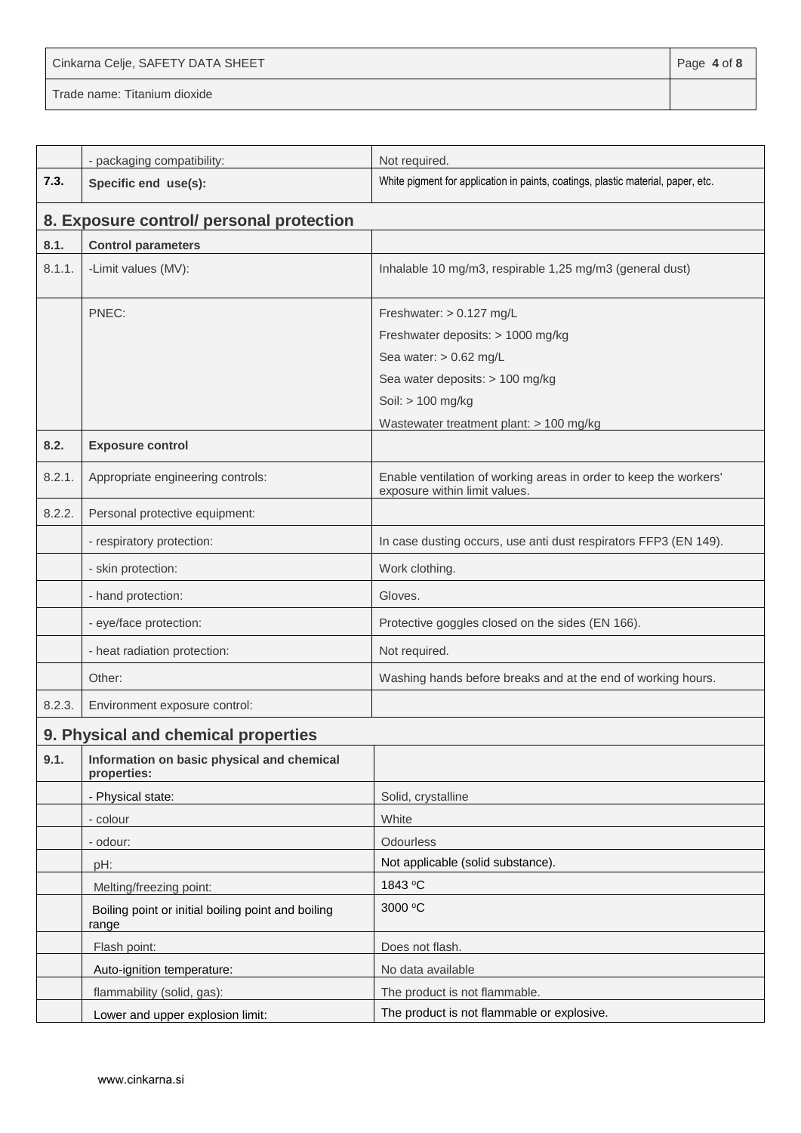Cinkarna Celje, SAFETY DATA SHEET **Page 4** of 8

|        | - packaging compatibility:                                  | Not required.                                                                                      |
|--------|-------------------------------------------------------------|----------------------------------------------------------------------------------------------------|
| 7.3.   | Specific end use(s):                                        | White pigment for application in paints, coatings, plastic material, paper, etc.                   |
|        | 8. Exposure control/ personal protection                    |                                                                                                    |
| 8.1.   | <b>Control parameters</b>                                   |                                                                                                    |
| 8.1.1. | -Limit values (MV):                                         | Inhalable 10 mg/m3, respirable 1,25 mg/m3 (general dust)                                           |
|        | PNEC:                                                       | Freshwater: $> 0.127$ mg/L                                                                         |
|        |                                                             | Freshwater deposits: > 1000 mg/kg                                                                  |
|        |                                                             | Sea water: $> 0.62$ mg/L                                                                           |
|        |                                                             | Sea water deposits: > 100 mg/kg                                                                    |
|        |                                                             | Soil: > 100 mg/kg                                                                                  |
|        |                                                             | Wastewater treatment plant: > 100 mg/kg                                                            |
| 8.2.   | <b>Exposure control</b>                                     |                                                                                                    |
| 8.2.1. | Appropriate engineering controls:                           | Enable ventilation of working areas in order to keep the workers'<br>exposure within limit values. |
| 8.2.2. | Personal protective equipment:                              |                                                                                                    |
|        | - respiratory protection:                                   | In case dusting occurs, use anti dust respirators FFP3 (EN 149).                                   |
|        | - skin protection:                                          | Work clothing.                                                                                     |
|        | - hand protection:                                          | Gloves.                                                                                            |
|        | - eye/face protection:                                      | Protective goggles closed on the sides (EN 166).                                                   |
|        | - heat radiation protection:                                | Not required.                                                                                      |
|        | Other:                                                      | Washing hands before breaks and at the end of working hours.                                       |
| 8.2.3. | Environment exposure control:                               |                                                                                                    |
|        | 9. Physical and chemical properties                         |                                                                                                    |
| 9.1.   | Information on basic physical and chemical<br>properties:   |                                                                                                    |
|        | - Physical state:                                           | Solid, crystalline                                                                                 |
|        | - colour                                                    | White                                                                                              |
|        | - odour:                                                    | Odourless                                                                                          |
|        | pH:                                                         | Not applicable (solid substance).                                                                  |
|        | Melting/freezing point:                                     | 1843 °C                                                                                            |
|        | Boiling point or initial boiling point and boiling<br>range | 3000 °C                                                                                            |
|        | Flash point:                                                | Does not flash.                                                                                    |
|        | Auto-ignition temperature:                                  | No data available                                                                                  |
|        | flammability (solid, gas):                                  | The product is not flammable.                                                                      |
|        | Lower and upper explosion limit:                            | The product is not flammable or explosive.                                                         |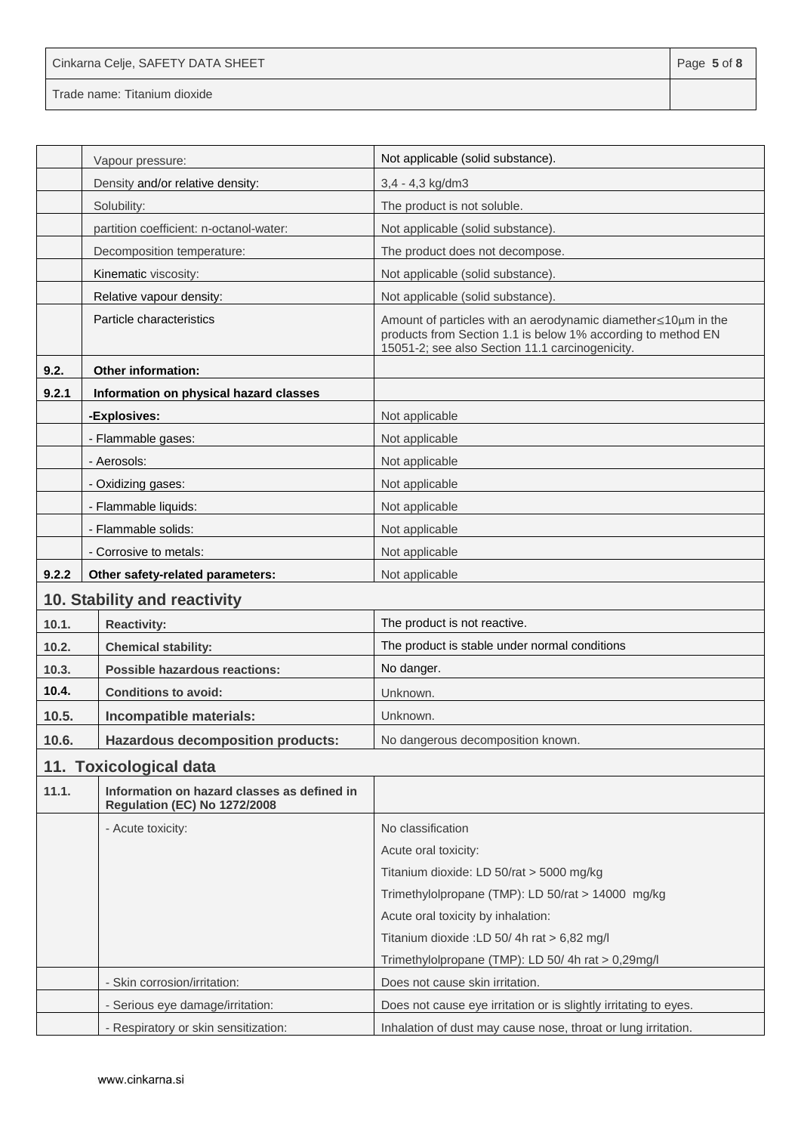| Cinkarna Celje, SAFETY DATA SHEET | Page 5 of 8 |
|-----------------------------------|-------------|
| Trade name: Titanium dioxide      |             |

|       | Vapour pressure:                                                                   | Not applicable (solid substance).                                                                                                                                                 |
|-------|------------------------------------------------------------------------------------|-----------------------------------------------------------------------------------------------------------------------------------------------------------------------------------|
|       | Density and/or relative density:                                                   | 3,4 - 4,3 kg/dm3                                                                                                                                                                  |
|       | Solubility:                                                                        | The product is not soluble.                                                                                                                                                       |
|       | partition coefficient: n-octanol-water:                                            | Not applicable (solid substance).                                                                                                                                                 |
|       | Decomposition temperature:                                                         | The product does not decompose.                                                                                                                                                   |
|       | Kinematic viscosity:                                                               | Not applicable (solid substance).                                                                                                                                                 |
|       | Relative vapour density:                                                           | Not applicable (solid substance).                                                                                                                                                 |
|       | Particle characteristics                                                           | Amount of particles with an aerodynamic diamether ≤10µm in the<br>products from Section 1.1 is below 1% according to method EN<br>15051-2; see also Section 11.1 carcinogenicity. |
| 9.2.  | <b>Other information:</b>                                                          |                                                                                                                                                                                   |
| 9.2.1 | Information on physical hazard classes                                             |                                                                                                                                                                                   |
|       | -Explosives:                                                                       | Not applicable                                                                                                                                                                    |
|       | - Flammable gases:                                                                 | Not applicable                                                                                                                                                                    |
|       | - Aerosols:                                                                        | Not applicable                                                                                                                                                                    |
|       | - Oxidizing gases:                                                                 | Not applicable                                                                                                                                                                    |
|       | - Flammable liquids:                                                               | Not applicable                                                                                                                                                                    |
|       | - Flammable solids:                                                                | Not applicable                                                                                                                                                                    |
|       | - Corrosive to metals:                                                             | Not applicable                                                                                                                                                                    |
| 9.2.2 | Other safety-related parameters:                                                   | Not applicable                                                                                                                                                                    |
|       | 10. Stability and reactivity                                                       |                                                                                                                                                                                   |
| 10.1. | <b>Reactivity:</b>                                                                 | The product is not reactive.                                                                                                                                                      |
| 10.2. | <b>Chemical stability:</b>                                                         | The product is stable under normal conditions                                                                                                                                     |
| 10.3. | Possible hazardous reactions:                                                      | No danger.                                                                                                                                                                        |
| 10.4. | <b>Conditions to avoid:</b>                                                        | Unknown.                                                                                                                                                                          |
| 10.5. | Incompatible materials:                                                            | Unknown.                                                                                                                                                                          |
| 10.6. | <b>Hazardous decomposition products:</b>                                           | No dangerous decomposition known.                                                                                                                                                 |
|       | 11. Toxicological data                                                             |                                                                                                                                                                                   |
| 11.1. | Information on hazard classes as defined in<br><b>Regulation (EC) No 1272/2008</b> |                                                                                                                                                                                   |
|       | - Acute toxicity:                                                                  | No classification                                                                                                                                                                 |
|       |                                                                                    | Acute oral toxicity:                                                                                                                                                              |
|       |                                                                                    | Titanium dioxide: LD 50/rat > 5000 mg/kg                                                                                                                                          |
|       |                                                                                    | Trimethylolpropane (TMP): LD 50/rat > 14000 mg/kg                                                                                                                                 |
|       |                                                                                    | Acute oral toxicity by inhalation:                                                                                                                                                |
|       |                                                                                    | Titanium dioxide : LD 50/4h rat > 6,82 mg/l                                                                                                                                       |
|       |                                                                                    | Trimethylolpropane (TMP): LD 50/4h rat > 0,29mg/l                                                                                                                                 |
|       | - Skin corrosion/irritation:                                                       | Does not cause skin irritation.                                                                                                                                                   |
|       | - Serious eye damage/irritation:                                                   | Does not cause eye irritation or is slightly irritating to eyes.                                                                                                                  |
|       | - Respiratory or skin sensitization:                                               | Inhalation of dust may cause nose, throat or lung irritation.                                                                                                                     |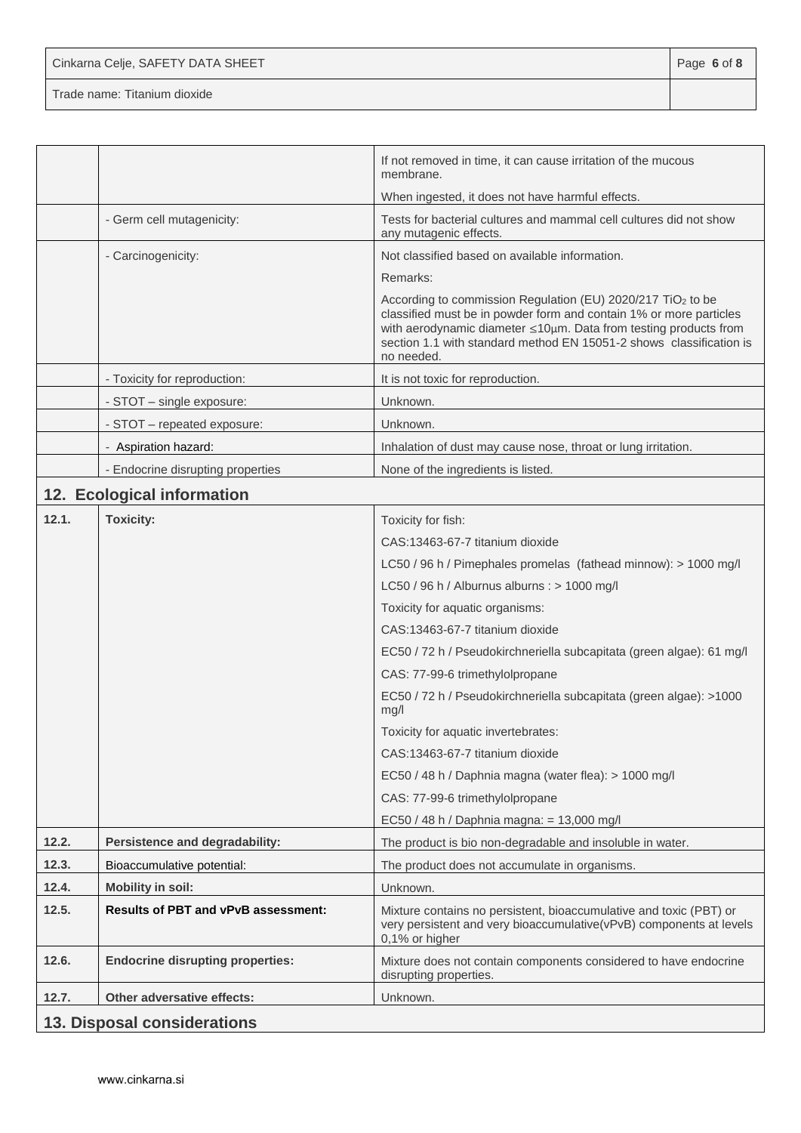Cinkarna Celje, SAFETY DATA SHEET **Page 6** of 8 Trade name: Titanium dioxide

|       |                                            | If not removed in time, it can cause irritation of the mucous<br>membrane.                                                                                                                                                                                                                             |
|-------|--------------------------------------------|--------------------------------------------------------------------------------------------------------------------------------------------------------------------------------------------------------------------------------------------------------------------------------------------------------|
|       |                                            | When ingested, it does not have harmful effects.                                                                                                                                                                                                                                                       |
|       | - Germ cell mutagenicity:                  | Tests for bacterial cultures and mammal cell cultures did not show<br>any mutagenic effects.                                                                                                                                                                                                           |
|       | - Carcinogenicity:                         | Not classified based on available information.                                                                                                                                                                                                                                                         |
|       |                                            | Remarks:                                                                                                                                                                                                                                                                                               |
|       |                                            | According to commission Regulation (EU) 2020/217 TiO <sub>2</sub> to be<br>classified must be in powder form and contain 1% or more particles<br>with aerodynamic diameter ≤10µm. Data from testing products from<br>section 1.1 with standard method EN 15051-2 shows classification is<br>no needed. |
|       | - Toxicity for reproduction:               | It is not toxic for reproduction.                                                                                                                                                                                                                                                                      |
|       | - STOT – single exposure:                  | Unknown.                                                                                                                                                                                                                                                                                               |
|       | - STOT - repeated exposure:                | Unknown.                                                                                                                                                                                                                                                                                               |
|       | - Aspiration hazard:                       | Inhalation of dust may cause nose, throat or lung irritation.                                                                                                                                                                                                                                          |
|       | - Endocrine disrupting properties          | None of the ingredients is listed.                                                                                                                                                                                                                                                                     |
|       | 12. Ecological information                 |                                                                                                                                                                                                                                                                                                        |
| 12.1. | <b>Toxicity:</b>                           | Toxicity for fish:                                                                                                                                                                                                                                                                                     |
|       |                                            | CAS:13463-67-7 titanium dioxide                                                                                                                                                                                                                                                                        |
|       |                                            | LC50 / 96 h / Pimephales promelas (fathead minnow): > 1000 mg/l                                                                                                                                                                                                                                        |
|       |                                            | LC50 / 96 h / Alburnus alburns : > 1000 mg/l                                                                                                                                                                                                                                                           |
|       |                                            | Toxicity for aquatic organisms:                                                                                                                                                                                                                                                                        |
|       |                                            | CAS:13463-67-7 titanium dioxide                                                                                                                                                                                                                                                                        |
|       |                                            | EC50 / 72 h / Pseudokirchneriella subcapitata (green algae): 61 mg/l                                                                                                                                                                                                                                   |
|       |                                            | CAS: 77-99-6 trimethylolpropane                                                                                                                                                                                                                                                                        |
|       |                                            | EC50 / 72 h / Pseudokirchneriella subcapitata (green algae): >1000<br>mg/l                                                                                                                                                                                                                             |
|       |                                            | Toxicity for aquatic invertebrates:                                                                                                                                                                                                                                                                    |
|       |                                            | CAS:13463-67-7 titanium dioxide                                                                                                                                                                                                                                                                        |
|       |                                            | EC50 / 48 h / Daphnia magna (water flea): > 1000 mg/l                                                                                                                                                                                                                                                  |
|       |                                            | CAS: 77-99-6 trimethylolpropane                                                                                                                                                                                                                                                                        |
|       |                                            | EC50 / 48 h / Daphnia magna: = 13,000 mg/l                                                                                                                                                                                                                                                             |
| 12.2. | Persistence and degradability:             | The product is bio non-degradable and insoluble in water.                                                                                                                                                                                                                                              |
| 12.3. | Bioaccumulative potential:                 | The product does not accumulate in organisms.                                                                                                                                                                                                                                                          |
| 12.4. | <b>Mobility in soil:</b>                   | Unknown.                                                                                                                                                                                                                                                                                               |
| 12.5. | <b>Results of PBT and vPvB assessment:</b> | Mixture contains no persistent, bioaccumulative and toxic (PBT) or<br>very persistent and very bioaccumulative(vPvB) components at levels<br>0,1% or higher                                                                                                                                            |
| 12.6. | <b>Endocrine disrupting properties:</b>    | Mixture does not contain components considered to have endocrine<br>disrupting properties.                                                                                                                                                                                                             |
| 12.7. | <b>Other adversative effects:</b>          | Unknown.                                                                                                                                                                                                                                                                                               |
|       | 13. Disposal considerations                |                                                                                                                                                                                                                                                                                                        |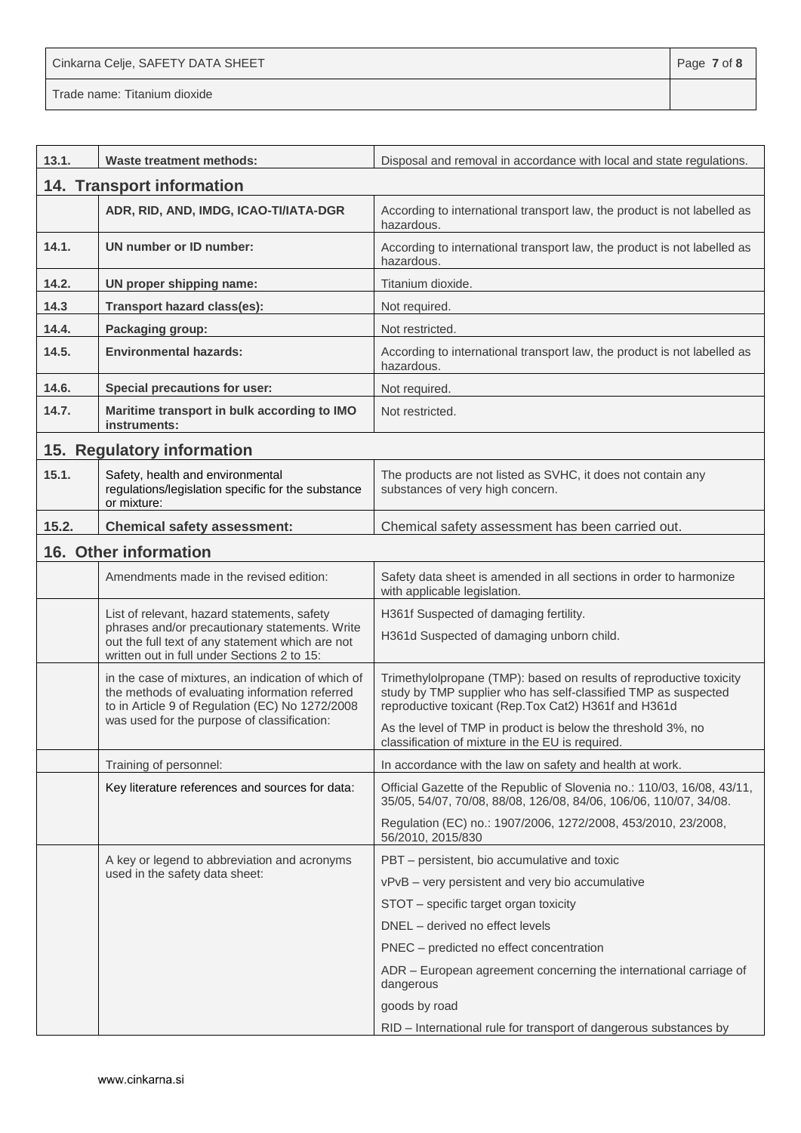Cinkarna Celje, SAFETY DATA SHEET **Page 7** of 8

| 13.1. | <b>Waste treatment methods:</b>                                                                                                                         | Disposal and removal in accordance with local and state regulations.                                                                                                                          |
|-------|---------------------------------------------------------------------------------------------------------------------------------------------------------|-----------------------------------------------------------------------------------------------------------------------------------------------------------------------------------------------|
|       | 14. Transport information                                                                                                                               |                                                                                                                                                                                               |
|       | ADR, RID, AND, IMDG, ICAO-TI/IATA-DGR                                                                                                                   | According to international transport law, the product is not labelled as<br>hazardous.                                                                                                        |
| 14.1. | UN number or ID number:                                                                                                                                 | According to international transport law, the product is not labelled as<br>hazardous.                                                                                                        |
| 14.2. | UN proper shipping name:                                                                                                                                | Titanium dioxide.                                                                                                                                                                             |
| 14.3  | Transport hazard class(es):                                                                                                                             | Not required.                                                                                                                                                                                 |
| 14.4. | Packaging group:                                                                                                                                        | Not restricted.                                                                                                                                                                               |
| 14.5. | <b>Environmental hazards:</b>                                                                                                                           | According to international transport law, the product is not labelled as<br>hazardous.                                                                                                        |
| 14.6. | <b>Special precautions for user:</b>                                                                                                                    | Not required.                                                                                                                                                                                 |
| 14.7. | Maritime transport in bulk according to IMO<br>instruments:                                                                                             | Not restricted.                                                                                                                                                                               |
|       | 15. Regulatory information                                                                                                                              |                                                                                                                                                                                               |
| 15.1. | Safety, health and environmental<br>regulations/legislation specific for the substance<br>or mixture:                                                   | The products are not listed as SVHC, it does not contain any<br>substances of very high concern.                                                                                              |
| 15.2. | <b>Chemical safety assessment:</b>                                                                                                                      | Chemical safety assessment has been carried out.                                                                                                                                              |
|       | 16. Other information                                                                                                                                   |                                                                                                                                                                                               |
|       | Amendments made in the revised edition:                                                                                                                 | Safety data sheet is amended in all sections in order to harmonize<br>with applicable legislation.                                                                                            |
|       | List of relevant, hazard statements, safety                                                                                                             | H361f Suspected of damaging fertility.                                                                                                                                                        |
|       | phrases and/or precautionary statements. Write<br>out the full text of any statement which are not<br>written out in full under Sections 2 to 15:       | H361d Suspected of damaging unborn child.                                                                                                                                                     |
|       | in the case of mixtures, an indication of which of<br>the methods of evaluating information referred<br>to in Article 9 of Regulation (EC) No 1272/2008 | Trimethylolpropane (TMP): based on results of reproductive toxicity<br>study by TMP supplier who has self-classified TMP as suspected<br>reproductive toxicant (Rep.Tox Cat2) H361f and H361d |
|       | was used for the purpose of classification:                                                                                                             | As the level of TMP in product is below the threshold 3%, no<br>classification of mixture in the EU is required.                                                                              |
|       | Training of personnel:                                                                                                                                  | In accordance with the law on safety and health at work.                                                                                                                                      |
|       | Key literature references and sources for data:                                                                                                         | Official Gazette of the Republic of Slovenia no.: 110/03, 16/08, 43/11,<br>35/05, 54/07, 70/08, 88/08, 126/08, 84/06, 106/06, 110/07, 34/08.                                                  |
|       |                                                                                                                                                         | Regulation (EC) no.: 1907/2006, 1272/2008, 453/2010, 23/2008,<br>56/2010, 2015/830                                                                                                            |
|       | A key or legend to abbreviation and acronyms                                                                                                            | PBT - persistent, bio accumulative and toxic                                                                                                                                                  |
|       | used in the safety data sheet:                                                                                                                          | vPvB - very persistent and very bio accumulative                                                                                                                                              |
|       |                                                                                                                                                         | STOT - specific target organ toxicity                                                                                                                                                         |
|       |                                                                                                                                                         | DNEL - derived no effect levels                                                                                                                                                               |
|       |                                                                                                                                                         | PNEC - predicted no effect concentration                                                                                                                                                      |
|       |                                                                                                                                                         | ADR - European agreement concerning the international carriage of<br>dangerous                                                                                                                |
|       |                                                                                                                                                         | goods by road                                                                                                                                                                                 |
|       |                                                                                                                                                         | RID - International rule for transport of dangerous substances by                                                                                                                             |